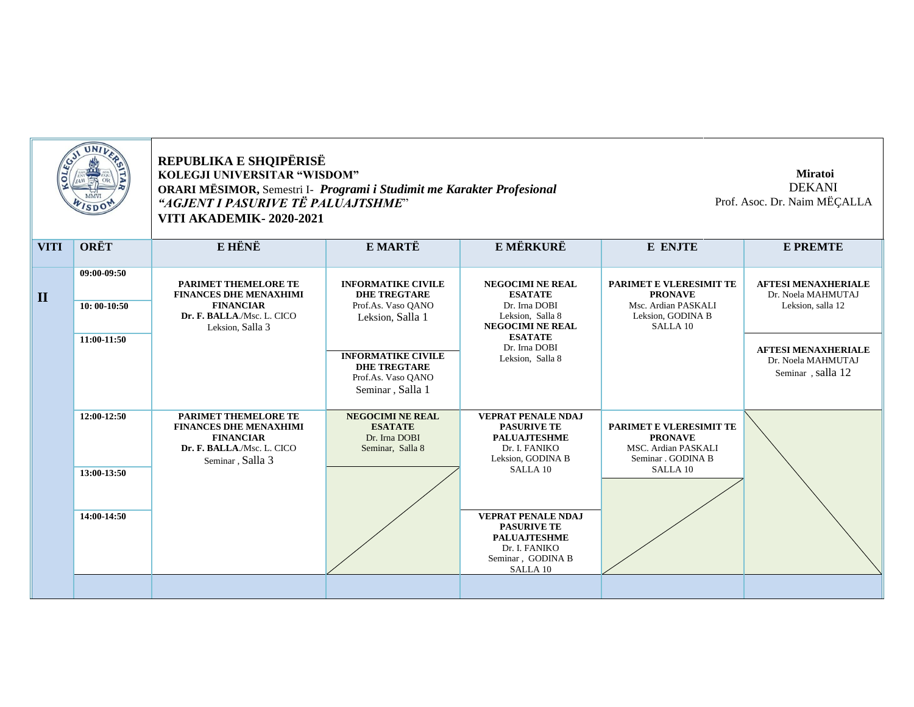| <b>UNIV</b>  |                              | REPUBLIKA E SHQIPËRISË<br>KOLEGJI UNIVERSITAR "WISDOM"<br>ORARI MËSIMOR, Semestri I- Programi i Studimit me Karakter Profesional<br>"AGJENT I PASURIVE TË PALUAJTSHME"<br>VITI AKADEMIK-2020-2021 |                                                                                            | <b>Miratoi</b><br><b>DEKANI</b><br>Prof. Asoc. Dr. Naim MËÇALLA                                                                     |                                                                                                               |                                                                       |
|--------------|------------------------------|---------------------------------------------------------------------------------------------------------------------------------------------------------------------------------------------------|--------------------------------------------------------------------------------------------|-------------------------------------------------------------------------------------------------------------------------------------|---------------------------------------------------------------------------------------------------------------|-----------------------------------------------------------------------|
| <b>VITI</b>  | <b>ORËT</b>                  | E HËNË                                                                                                                                                                                            | E MARTË                                                                                    | E MËRKURË                                                                                                                           | E ENJTE                                                                                                       | <b>E PREMTE</b>                                                       |
| $\mathbf{I}$ | 09:00-09:50<br>$10:00-10:50$ | PARIMET THEMELORE TE<br><b>FINANCES DHE MENAXHIMI</b><br><b>FINANCIAR</b><br>Dr. F. BALLA./Msc. L. CICO<br>Leksion, Salla 3                                                                       | <b>INFORMATIKE CIVILE</b><br><b>DHE TREGTARE</b><br>Prof.As. Vaso QANO<br>Leksion, Salla 1 | <b>NEGOCIMI NE REAL</b><br><b>ESATATE</b><br>Dr. Irna DOBI<br>Leksion, Salla 8<br><b>NEGOCIMI NE REAL</b>                           | PARIMET E VLERESIMIT TE<br><b>PRONAVE</b><br>Msc. Ardian PASKALI<br>Leksion, GODINA B<br>SALLA <sub>10</sub>  | <b>AFTESI MENAXHERIALE</b><br>Dr. Noela MAHMUTAJ<br>Leksion, salla 12 |
|              | 11:00-11:50                  |                                                                                                                                                                                                   | <b>INFORMATIKE CIVILE</b><br><b>DHE TREGTARE</b><br>Prof.As. Vaso QANO<br>Seminar, Salla 1 | <b>ESATATE</b><br>Dr. Irna DOBI<br>Leksion, Salla 8                                                                                 |                                                                                                               | <b>AFTESI MENAXHERIALE</b><br>Dr. Noela MAHMUTAJ<br>Seminar, salla 12 |
|              | 12:00-12:50                  | <b>PARIMET THEMELORE TE</b><br><b>FINANCES DHE MENAXHIMI</b><br><b>FINANCIAR</b><br>Dr. F. BALLA./Msc. L. CICO<br>Seminar, Salla 3                                                                | <b>NEGOCIMI NE REAL</b><br><b>ESATATE</b><br>Dr. Irna DOBI<br>Seminar, Salla 8             | <b>VEPRAT PENALE NDAJ</b><br><b>PASURIVE TE</b><br><b>PALUAJTESHME</b><br>Dr. I. FANIKO<br>Leksion, GODINA B<br>SALLA <sub>10</sub> | PARIMET E VLERESIMIT TE<br><b>PRONAVE</b><br>MSC. Ardian PASKALI<br>Seminar . GODINA B<br>SALLA <sub>10</sub> |                                                                       |
|              | 13:00-13:50                  |                                                                                                                                                                                                   |                                                                                            |                                                                                                                                     |                                                                                                               |                                                                       |
|              | 14:00-14:50                  |                                                                                                                                                                                                   |                                                                                            | <b>VEPRAT PENALE NDAJ</b><br><b>PASURIVE TE</b><br><b>PALUAJTESHME</b><br>Dr. I. FANIKO<br>Seminar, GODINA B<br>SALLA 10            |                                                                                                               |                                                                       |
|              |                              |                                                                                                                                                                                                   |                                                                                            |                                                                                                                                     |                                                                                                               |                                                                       |